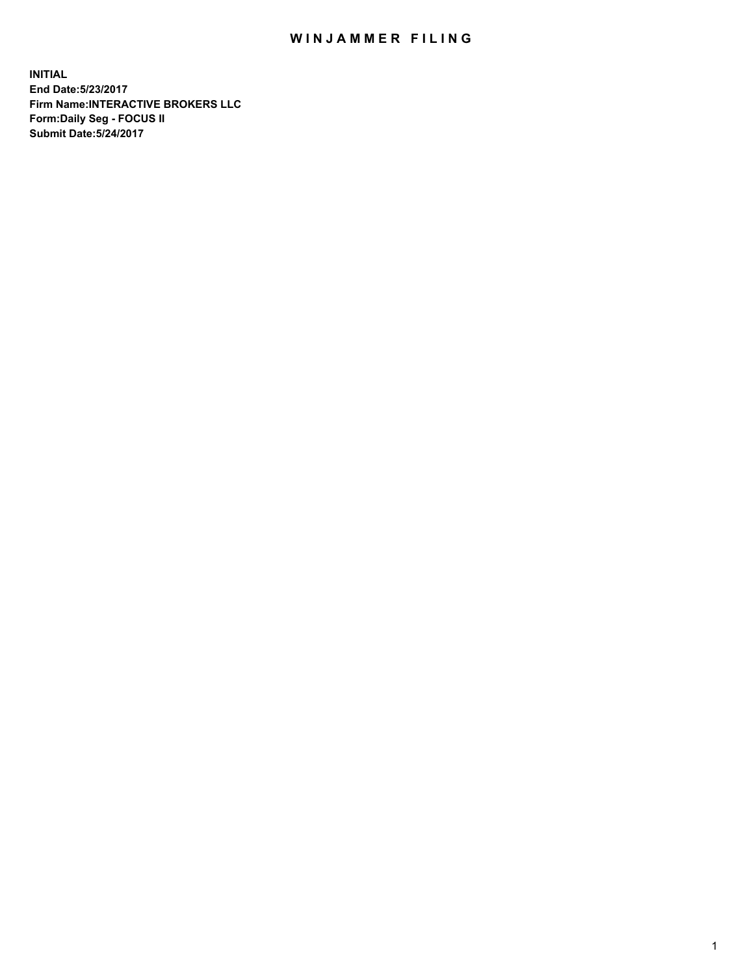## WIN JAMMER FILING

**INITIAL End Date:5/23/2017 Firm Name:INTERACTIVE BROKERS LLC Form:Daily Seg - FOCUS II Submit Date:5/24/2017**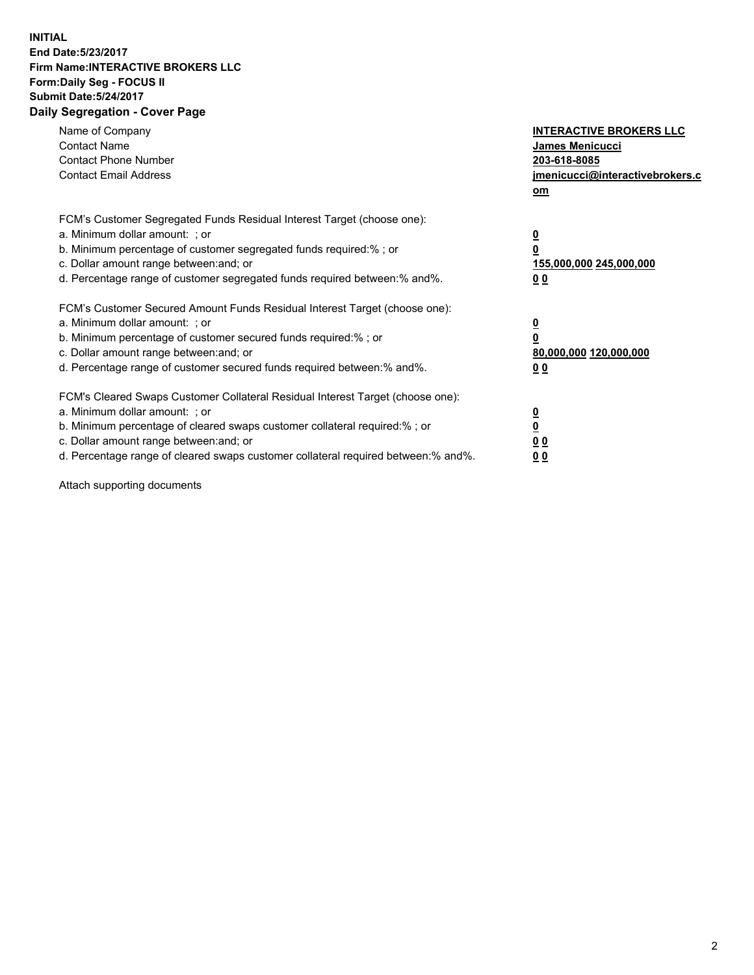## **INITIAL End Date:5/23/2017 Firm Name:INTERACTIVE BROKERS LLC Form:Daily Seg - FOCUS II Submit Date:5/24/2017 Daily Segregation - Cover Page**

| Name of Company<br><b>Contact Name</b><br><b>Contact Phone Number</b><br><b>Contact Email Address</b>                                                                                                                                                                                                                          | <b>INTERACTIVE BROKERS LLC</b><br>James Menicucci<br>203-618-8085<br>jmenicucci@interactivebrokers.c<br>om |
|--------------------------------------------------------------------------------------------------------------------------------------------------------------------------------------------------------------------------------------------------------------------------------------------------------------------------------|------------------------------------------------------------------------------------------------------------|
| FCM's Customer Segregated Funds Residual Interest Target (choose one):<br>a. Minimum dollar amount: ; or<br>b. Minimum percentage of customer segregated funds required:%; or<br>c. Dollar amount range between: and; or<br>d. Percentage range of customer segregated funds required between:% and%.                          | $\overline{\mathbf{0}}$<br>0<br>155,000,000 245,000,000<br>0 <sub>0</sub>                                  |
| FCM's Customer Secured Amount Funds Residual Interest Target (choose one):<br>a. Minimum dollar amount: ; or<br>b. Minimum percentage of customer secured funds required:%; or<br>c. Dollar amount range between: and; or<br>d. Percentage range of customer secured funds required between:% and%.                            | $\overline{\mathbf{0}}$<br>$\overline{\mathbf{0}}$<br>80,000,000 120,000,000<br>00                         |
| FCM's Cleared Swaps Customer Collateral Residual Interest Target (choose one):<br>a. Minimum dollar amount: ; or<br>b. Minimum percentage of cleared swaps customer collateral required:% ; or<br>c. Dollar amount range between: and; or<br>d. Percentage range of cleared swaps customer collateral required between:% and%. | $\overline{\mathbf{0}}$<br>$\overline{\mathbf{0}}$<br>0 <sub>0</sub><br><u>00</u>                          |

Attach supporting documents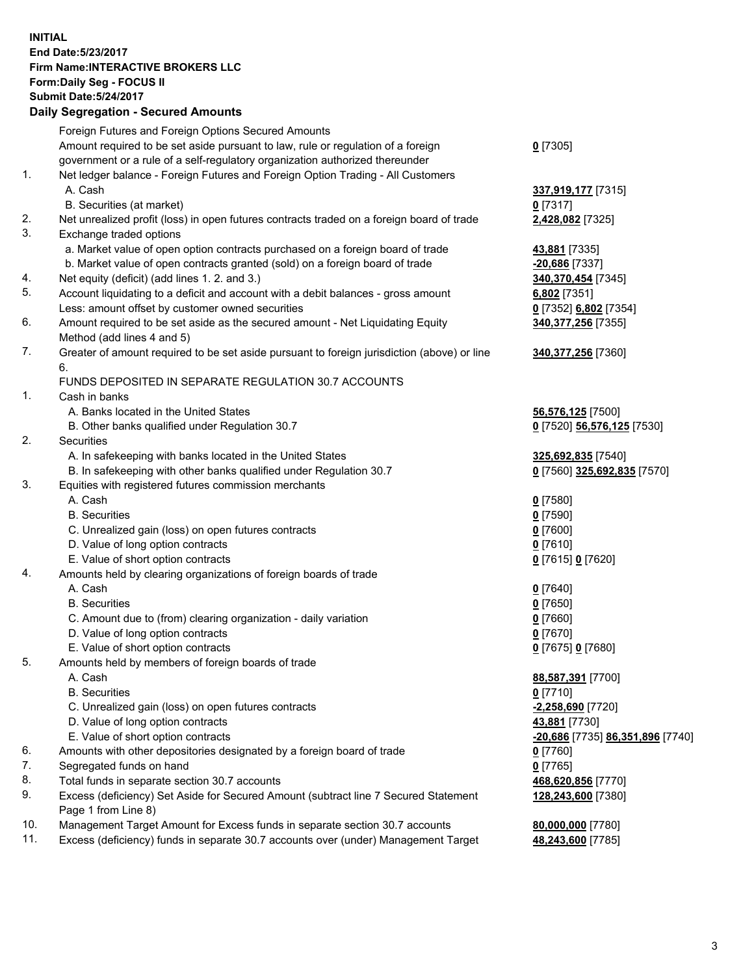## **INITIAL End Date:5/23/2017 Firm Name:INTERACTIVE BROKERS LLC Form:Daily Seg - FOCUS II Submit Date:5/24/2017 Daily Segregation - Secured Amounts**

|     | Dany Ocgregation - Oceanea Annoanta                                                                        |                                  |
|-----|------------------------------------------------------------------------------------------------------------|----------------------------------|
|     | Foreign Futures and Foreign Options Secured Amounts                                                        |                                  |
|     | Amount required to be set aside pursuant to law, rule or regulation of a foreign                           | $0$ [7305]                       |
|     | government or a rule of a self-regulatory organization authorized thereunder                               |                                  |
| 1.  | Net ledger balance - Foreign Futures and Foreign Option Trading - All Customers                            |                                  |
|     | A. Cash                                                                                                    | 337,919,177 [7315]               |
|     | B. Securities (at market)                                                                                  | 0 [7317]                         |
| 2.  | Net unrealized profit (loss) in open futures contracts traded on a foreign board of trade                  | 2,428,082 [7325]                 |
| 3.  | Exchange traded options                                                                                    |                                  |
|     | a. Market value of open option contracts purchased on a foreign board of trade                             | 43,881 [7335]                    |
|     | b. Market value of open contracts granted (sold) on a foreign board of trade                               | $-20,686$ [7337]                 |
| 4.  | Net equity (deficit) (add lines 1.2. and 3.)                                                               | 340,370,454 [7345]               |
| 5.  | Account liquidating to a deficit and account with a debit balances - gross amount                          | 6,802 [7351]                     |
|     | Less: amount offset by customer owned securities                                                           | 0 [7352] 6,802 [7354]            |
| 6.  | Amount required to be set aside as the secured amount - Net Liquidating Equity                             | 340, 377, 256 [7355]             |
|     | Method (add lines 4 and 5)                                                                                 |                                  |
| 7.  | Greater of amount required to be set aside pursuant to foreign jurisdiction (above) or line                | 340,377,256 [7360]               |
|     | 6.                                                                                                         |                                  |
|     | FUNDS DEPOSITED IN SEPARATE REGULATION 30.7 ACCOUNTS                                                       |                                  |
| 1.  | Cash in banks                                                                                              |                                  |
|     | A. Banks located in the United States                                                                      | 56,576,125 [7500]                |
|     | B. Other banks qualified under Regulation 30.7                                                             | 0 [7520] 56,576,125 [7530]       |
| 2.  | Securities                                                                                                 |                                  |
|     | A. In safekeeping with banks located in the United States                                                  | 325,692,835 [7540]               |
|     | B. In safekeeping with other banks qualified under Regulation 30.7                                         | 0 [7560] 325,692,835 [7570]      |
| 3.  | Equities with registered futures commission merchants                                                      |                                  |
|     | A. Cash                                                                                                    | $0$ [7580]                       |
|     | <b>B.</b> Securities                                                                                       | $0$ [7590]                       |
|     | C. Unrealized gain (loss) on open futures contracts                                                        | $0$ [7600]                       |
|     | D. Value of long option contracts                                                                          | $0$ [7610]                       |
|     | E. Value of short option contracts                                                                         | 0 [7615] 0 [7620]                |
| 4.  | Amounts held by clearing organizations of foreign boards of trade                                          |                                  |
|     | A. Cash                                                                                                    | $0$ [7640]                       |
|     | <b>B.</b> Securities                                                                                       | $0$ [7650]                       |
|     | C. Amount due to (from) clearing organization - daily variation                                            | $0$ [7660]                       |
|     | D. Value of long option contracts                                                                          | $0$ [7670]                       |
|     | E. Value of short option contracts                                                                         | 0 [7675] 0 [7680]                |
| 5.  | Amounts held by members of foreign boards of trade                                                         |                                  |
|     | A. Cash                                                                                                    | 88,587,391 [7700]                |
|     | <b>B.</b> Securities                                                                                       | $0$ [7710]                       |
|     | C. Unrealized gain (loss) on open futures contracts                                                        | $-2,258,690$ [7720]              |
|     | D. Value of long option contracts                                                                          | 43,881 [7730]                    |
|     | E. Value of short option contracts                                                                         | -20,686 [7735] 86,351,896 [7740] |
| 6.  | Amounts with other depositories designated by a foreign board of trade                                     | 0 [7760]                         |
| 7.  | Segregated funds on hand                                                                                   | $0$ [7765]                       |
| 8.  | Total funds in separate section 30.7 accounts                                                              | 468,620,856 [7770]               |
| 9.  | Excess (deficiency) Set Aside for Secured Amount (subtract line 7 Secured Statement<br>Page 1 from Line 8) | 128,243,600 [7380]               |
| 10. | Management Target Amount for Excess funds in separate section 30.7 accounts                                | 80,000,000 [7780]                |
| 11. | Excess (deficiency) funds in separate 30.7 accounts over (under) Management Target                         | 48,243,600 [7785]                |
|     |                                                                                                            |                                  |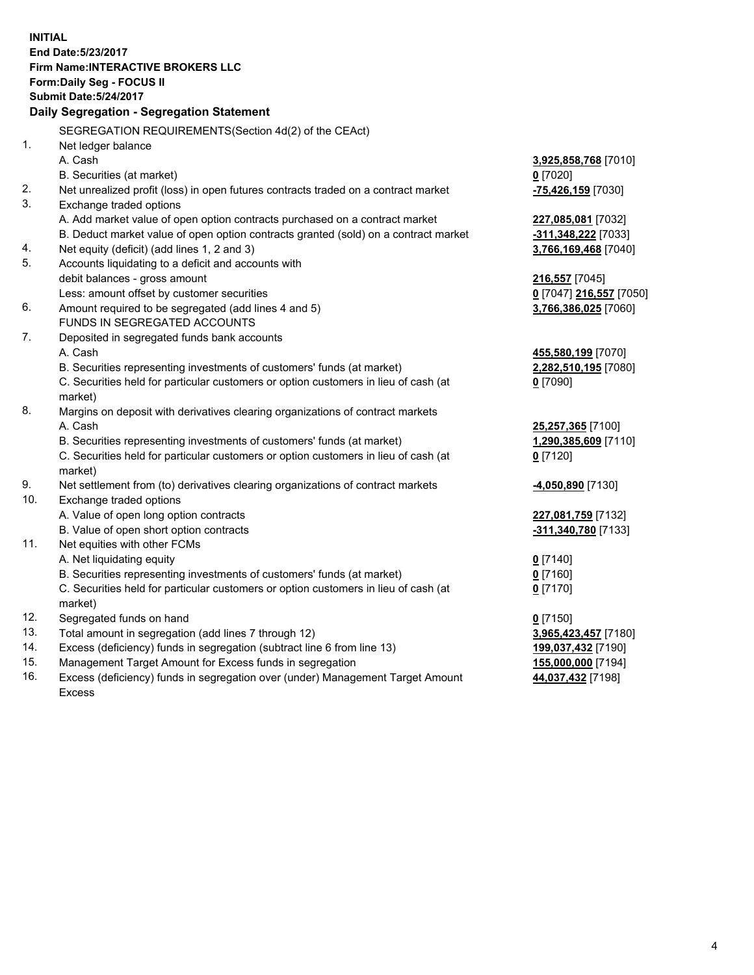**INITIAL End Date:5/23/2017 Firm Name:INTERACTIVE BROKERS LLC Form:Daily Seg - FOCUS II Submit Date:5/24/2017 Daily Segregation - Segregation Statement** SEGREGATION REQUIREMENTS(Section 4d(2) of the CEAct) 1. Net ledger balance A. Cash **3,925,858,768** [7010] B. Securities (at market) **0** [7020] 2. Net unrealized profit (loss) in open futures contracts traded on a contract market **-75,426,159** [7030] 3. Exchange traded options A. Add market value of open option contracts purchased on a contract market **227,085,081** [7032] B. Deduct market value of open option contracts granted (sold) on a contract market **-311,348,222** [7033] 4. Net equity (deficit) (add lines 1, 2 and 3) **3,766,169,468** [7040] 5. Accounts liquidating to a deficit and accounts with debit balances - gross amount **216,557** [7045] Less: amount offset by customer securities **0** [7047] **216,557** [7050] 6. Amount required to be segregated (add lines 4 and 5) **3,766,386,025** [7060] FUNDS IN SEGREGATED ACCOUNTS 7. Deposited in segregated funds bank accounts A. Cash **455,580,199** [7070] B. Securities representing investments of customers' funds (at market) **2,282,510,195** [7080] C. Securities held for particular customers or option customers in lieu of cash (at market) **0** [7090] 8. Margins on deposit with derivatives clearing organizations of contract markets A. Cash **25,257,365** [7100] B. Securities representing investments of customers' funds (at market) **1,290,385,609** [7110] C. Securities held for particular customers or option customers in lieu of cash (at market) **0** [7120] 9. Net settlement from (to) derivatives clearing organizations of contract markets **-4,050,890** [7130] 10. Exchange traded options A. Value of open long option contracts **227,081,759** [7132] B. Value of open short option contracts **-311,340,780** [7133] 11. Net equities with other FCMs A. Net liquidating equity **0** [7140] B. Securities representing investments of customers' funds (at market) **0** [7160] C. Securities held for particular customers or option customers in lieu of cash (at market) **0** [7170] 12. Segregated funds on hand **0** [7150] 13. Total amount in segregation (add lines 7 through 12) **3,965,423,457** [7180] 14. Excess (deficiency) funds in segregation (subtract line 6 from line 13) **199,037,432** [7190] 15. Management Target Amount for Excess funds in segregation **155,000,000** [7194] **44,037,432** [7198]

16. Excess (deficiency) funds in segregation over (under) Management Target Amount Excess